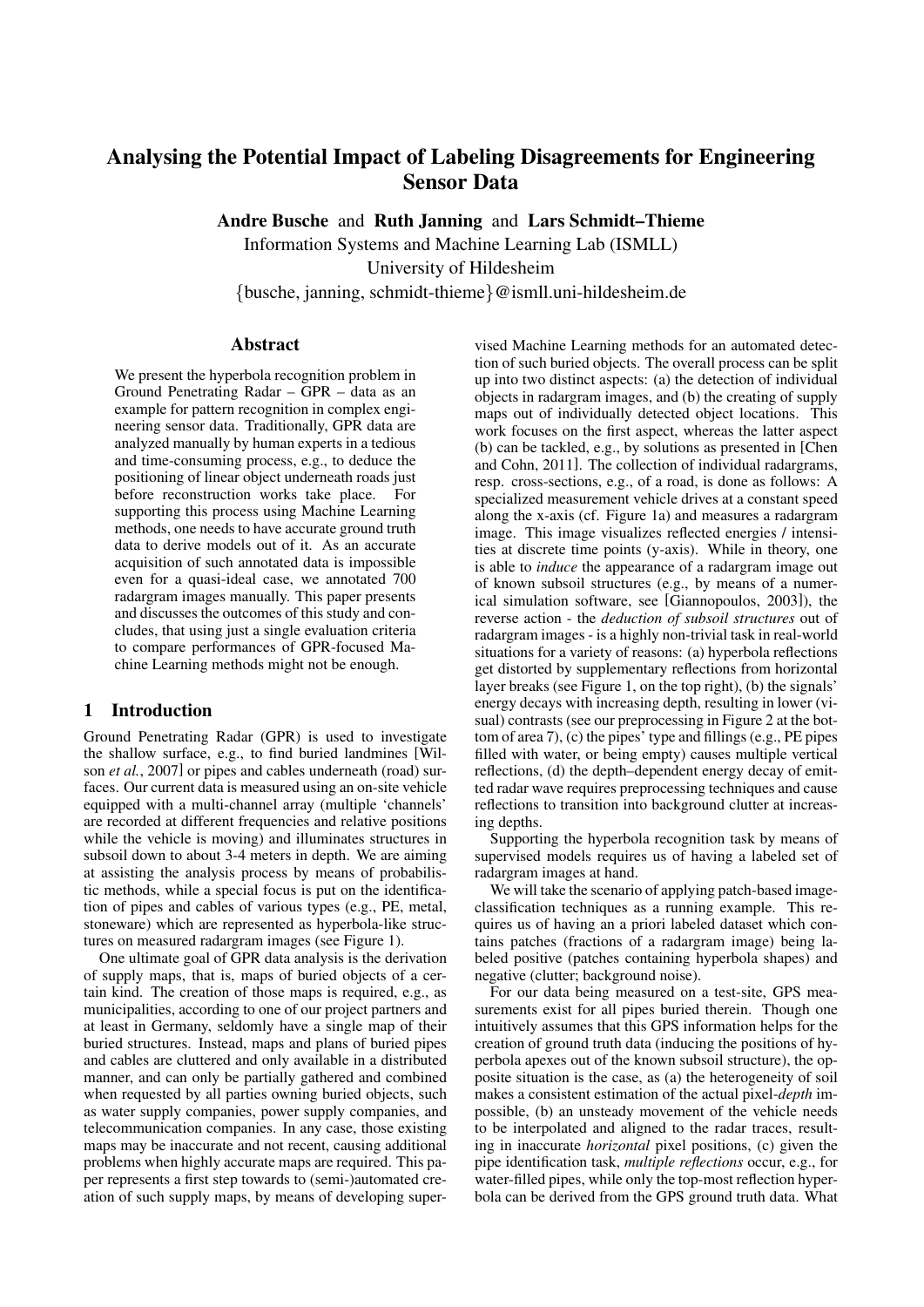# Analysing the Potential Impact of Labeling Disagreements for Engineering Sensor Data

Andre Busche and Ruth Janning and Lars Schmidt–Thieme

Information Systems and Machine Learning Lab (ISMLL)

University of Hildesheim

*{*busche, janning, schmidt-thieme*}*@ismll.uni-hildesheim.de

#### Abstract

We present the hyperbola recognition problem in Ground Penetrating Radar – GPR – data as an example for pattern recognition in complex engineering sensor data. Traditionally, GPR data are analyzed manually by human experts in a tedious and time-consuming process, e.g., to deduce the positioning of linear object underneath roads just before reconstruction works take place. For supporting this process using Machine Learning methods, one needs to have accurate ground truth data to derive models out of it. As an accurate acquisition of such annotated data is impossible even for a quasi-ideal case, we annotated 700 radargram images manually. This paper presents and discusses the outcomes of this study and concludes, that using just a single evaluation criteria to compare performances of GPR-focused Machine Learning methods might not be enough.

#### 1 Introduction

Ground Penetrating Radar (GPR) is used to investigate the shallow surface, e.g., to find buried landmines [Wilson *et al.*, 2007] or pipes and cables underneath (road) surfaces. Our current data is measured using an on-site vehicle equipped with a multi-channel array (multiple 'channels' are recorded at different frequencies and relative positions while the vehicle is moving) and illuminates structures in subsoil down to about 3-4 meters in depth. We are aiming at assisting the analysis process by means of probabilistic methods, while a special focus is put on the identification of pipes and cables of various types (e.g., PE, metal, stoneware) which are represented as hyperbola-like structures on measured radargram images (see Figure 1).

One ultimate goal of GPR data analysis is the derivation of supply maps, that is, maps of buried objects of a certain kind. The creation of those maps is required, e.g., as municipalities, according to one of our project partners and at least in Germany, seldomly have a single map of their buried structures. Instead, maps and plans of buried pipes and cables are cluttered and only available in a distributed manner, and can only be partially gathered and combined when requested by all parties owning buried objects, such as water supply companies, power supply companies, and telecommunication companies. In any case, those existing maps may be inaccurate and not recent, causing additional problems when highly accurate maps are required. This paper represents a first step towards to (semi-)automated creation of such supply maps, by means of developing supervised Machine Learning methods for an automated detection of such buried objects. The overall process can be split up into two distinct aspects: (a) the detection of individual objects in radargram images, and (b) the creating of supply maps out of individually detected object locations. This work focuses on the first aspect, whereas the latter aspect (b) can be tackled, e.g., by solutions as presented in [Chen and Cohn, 2011]. The collection of individual radargrams, resp. cross-sections, e.g., of a road, is done as follows: A specialized measurement vehicle drives at a constant speed along the x-axis (cf. Figure 1a) and measures a radargram image. This image visualizes reflected energies / intensities at discrete time points (y-axis). While in theory, one is able to *induce* the appearance of a radargram image out of known subsoil structures (e.g., by means of a numerical simulation software, see [Giannopoulos, 2003]), the reverse action - the *deduction of subsoil structures* out of radargram images - is a highly non-trivial task in real-world situations for a variety of reasons: (a) hyperbola reflections get distorted by supplementary reflections from horizontal layer breaks (see Figure 1, on the top right), (b) the signals' energy decays with increasing depth, resulting in lower (visual) contrasts (see our preprocessing in Figure 2 at the bottom of area 7), (c) the pipes' type and fillings (e.g., PE pipes filled with water, or being empty) causes multiple vertical reflections, (d) the depth–dependent energy decay of emitted radar wave requires preprocessing techniques and cause reflections to transition into background clutter at increasing depths.

Supporting the hyperbola recognition task by means of supervised models requires us of having a labeled set of radargram images at hand.

We will take the scenario of applying patch-based imageclassification techniques as a running example. This requires us of having an a priori labeled dataset which contains patches (fractions of a radargram image) being labeled positive (patches containing hyperbola shapes) and negative (clutter; background noise).

For our data being measured on a test-site, GPS measurements exist for all pipes buried therein. Though one intuitively assumes that this GPS information helps for the creation of ground truth data (inducing the positions of hyperbola apexes out of the known subsoil structure), the opposite situation is the case, as (a) the heterogeneity of soil makes a consistent estimation of the actual pixel-*depth* impossible, (b) an unsteady movement of the vehicle needs to be interpolated and aligned to the radar traces, resulting in inaccurate *horizontal* pixel positions, (c) given the pipe identification task, *multiple reflections* occur, e.g., for water-filled pipes, while only the top-most reflection hyperbola can be derived from the GPS ground truth data. What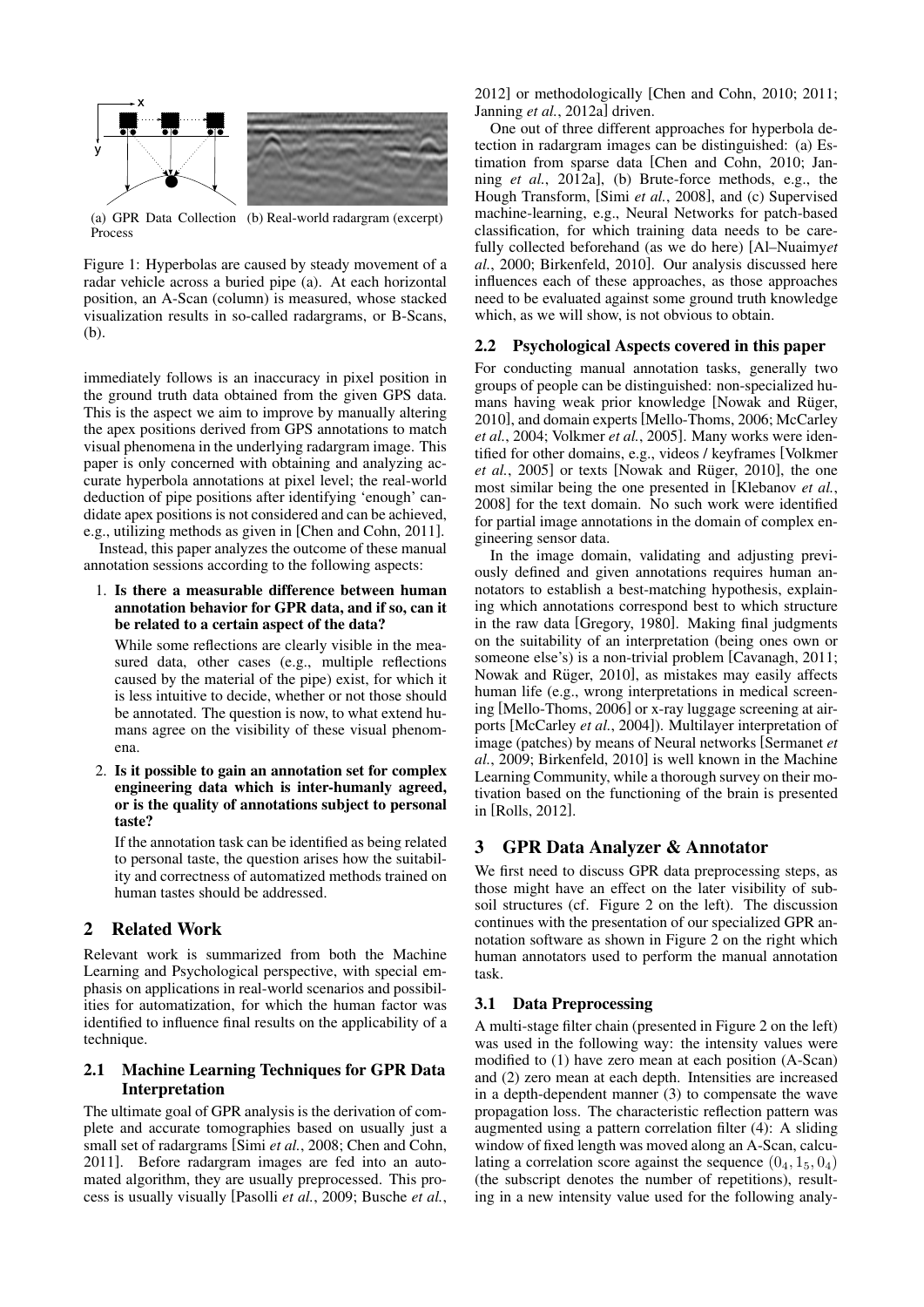

(a) GPR Data Collection (b) Real-world radargram (excerpt) Process

Figure 1: Hyperbolas are caused by steady movement of a radar vehicle across a buried pipe (a). At each horizontal position, an A-Scan (column) is measured, whose stacked visualization results in so-called radargrams, or B-Scans, (b).

immediately follows is an inaccuracy in pixel position in the ground truth data obtained from the given GPS data. This is the aspect we aim to improve by manually altering the apex positions derived from GPS annotations to match visual phenomena in the underlying radargram image. This paper is only concerned with obtaining and analyzing accurate hyperbola annotations at pixel level; the real-world deduction of pipe positions after identifying 'enough' candidate apex positions is not considered and can be achieved, e.g., utilizing methods as given in [Chen and Cohn, 2011]. Instead, this paper analyzes the outcome of these manual

annotation sessions according to the following aspects:

1. Is there a measurable difference between human annotation behavior for GPR data, and if so, can it be related to a certain aspect of the data?

While some reflections are clearly visible in the measured data, other cases (e.g., multiple reflections caused by the material of the pipe) exist, for which it is less intuitive to decide, whether or not those should be annotated. The question is now, to what extend humans agree on the visibility of these visual phenomena.

2. Is it possible to gain an annotation set for complex engineering data which is inter-humanly agreed, or is the quality of annotations subject to personal taste?

If the annotation task can be identified as being related to personal taste, the question arises how the suitability and correctness of automatized methods trained on human tastes should be addressed.

# 2 Related Work

Relevant work is summarized from both the Machine Learning and Psychological perspective, with special emphasis on applications in real-world scenarios and possibilities for automatization, for which the human factor was identified to influence final results on the applicability of a technique.

## 2.1 Machine Learning Techniques for GPR Data Interpretation

The ultimate goal of GPR analysis is the derivation of complete and accurate tomographies based on usually just a small set of radargrams [Simi *et al.*, 2008; Chen and Cohn, 2011]. Before radargram images are fed into an automated algorithm, they are usually preprocessed. This process is usually visually [Pasolli *et al.*, 2009; Busche *et al.*,

2012] or methodologically [Chen and Cohn, 2010; 2011; Janning *et al.*, 2012a] driven.

One out of three different approaches for hyperbola detection in radargram images can be distinguished: (a) Estimation from sparse data [Chen and Cohn, 2010; Janning *et al.*, 2012a], (b) Brute-force methods, e.g., the Hough Transform, [Simi *et al.*, 2008], and (c) Supervised machine-learning, e.g., Neural Networks for patch-based classification, for which training data needs to be carefully collected beforehand (as we do here) [Al–Nuaimy*et al.*, 2000; Birkenfeld, 2010]. Our analysis discussed here influences each of these approaches, as those approaches need to be evaluated against some ground truth knowledge which, as we will show, is not obvious to obtain.

### 2.2 Psychological Aspects covered in this paper

For conducting manual annotation tasks, generally two groups of people can be distinguished: non-specialized humans having weak prior knowledge [Nowak and Rüger, 2010], and domain experts [Mello-Thoms, 2006; McCarley *et al.*, 2004; Volkmer *et al.*, 2005]. Many works were identified for other domains, e.g., videos / keyframes [Volkmer *et al.*, 2005] or texts [Nowak and Rüger, 2010], the one most similar being the one presented in [Klebanov *et al.*, 2008] for the text domain. No such work were identified for partial image annotations in the domain of complex engineering sensor data.

In the image domain, validating and adjusting previously defined and given annotations requires human annotators to establish a best-matching hypothesis, explaining which annotations correspond best to which structure in the raw data [Gregory, 1980]. Making final judgments on the suitability of an interpretation (being ones own or someone else's) is a non-trivial problem [Cavanagh, 2011; Nowak and Rüger, 2010], as mistakes may easily affects human life (e.g., wrong interpretations in medical screening [Mello-Thoms, 2006] or x-ray luggage screening at airports [McCarley *et al.*, 2004]). Multilayer interpretation of image (patches) by means of Neural networks [Sermanet *et al.*, 2009; Birkenfeld, 2010] is well known in the Machine Learning Community, while a thorough survey on their motivation based on the functioning of the brain is presented in [Rolls, 2012].

### 3 GPR Data Analyzer & Annotator

We first need to discuss GPR data preprocessing steps, as those might have an effect on the later visibility of subsoil structures (cf. Figure 2 on the left). The discussion continues with the presentation of our specialized GPR annotation software as shown in Figure 2 on the right which human annotators used to perform the manual annotation task.

### 3.1 Data Preprocessing

A multi-stage filter chain (presented in Figure 2 on the left) was used in the following way: the intensity values were modified to (1) have zero mean at each position (A-Scan) and (2) zero mean at each depth. Intensities are increased in a depth-dependent manner (3) to compensate the wave propagation loss. The characteristic reflection pattern was augmented using a pattern correlation filter (4): A sliding window of fixed length was moved along an A-Scan, calculating a correlation score against the sequence  $(0_4, 1_5, 0_4)$ (the subscript denotes the number of repetitions), resulting in a new intensity value used for the following analy-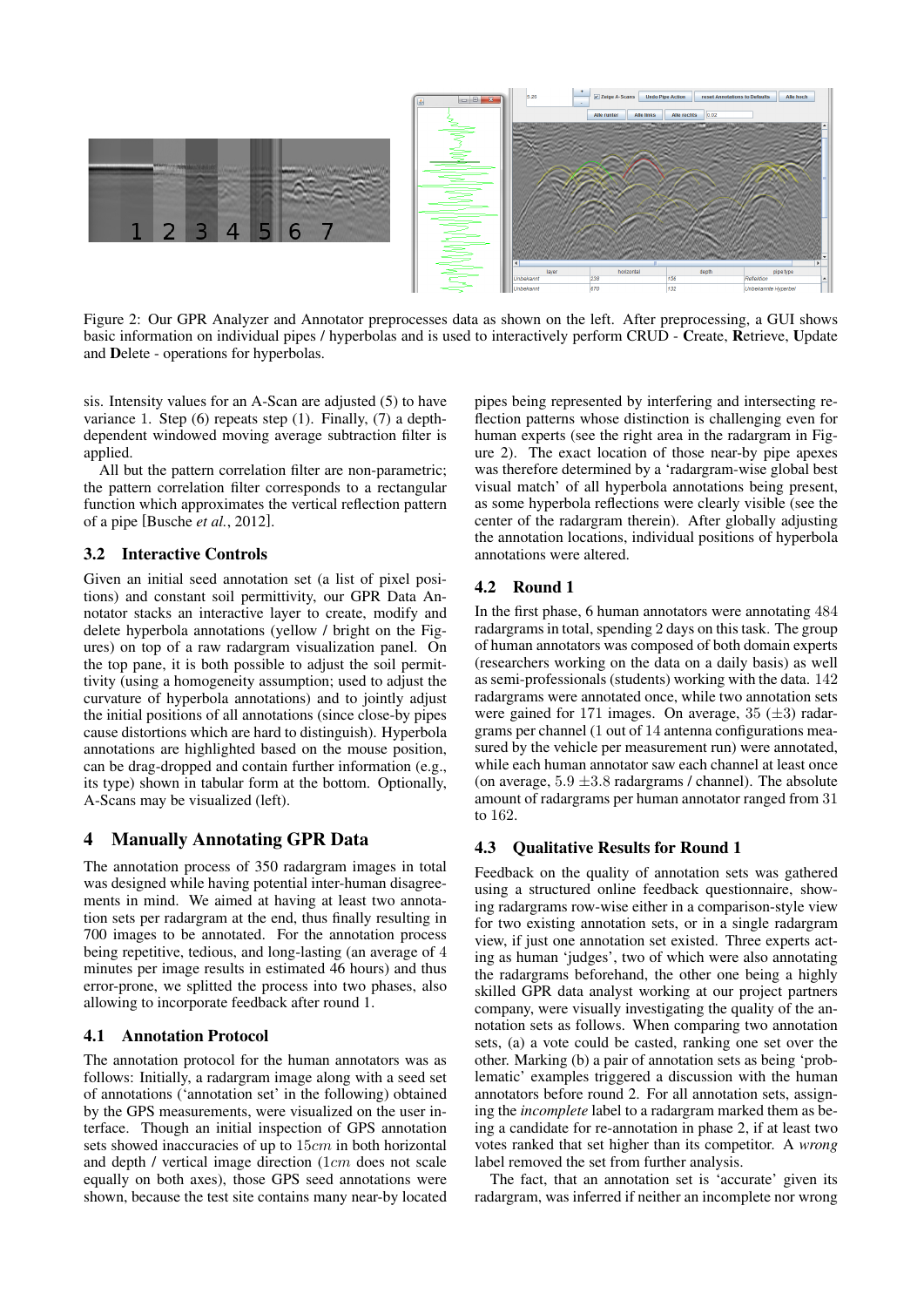



Figure 2: Our GPR Analyzer and Annotator preprocesses data as shown on the left. After preprocessing, a GUI shows basic information on individual pipes / hyperbolas and is used to interactively perform CRUD - Create, Retrieve, Update and Delete - operations for hyperbolas.

sis. Intensity values for an A-Scan are adjusted (5) to have variance 1. Step (6) repeats step (1). Finally, (7) a depthdependent windowed moving average subtraction filter is applied.

All but the pattern correlation filter are non-parametric; the pattern correlation filter corresponds to a rectangular function which approximates the vertical reflection pattern of a pipe [Busche *et al.*, 2012].

### 3.2 Interactive Controls

Given an initial seed annotation set (a list of pixel positions) and constant soil permittivity, our GPR Data Annotator stacks an interactive layer to create, modify and delete hyperbola annotations (yellow / bright on the Figures) on top of a raw radargram visualization panel. On the top pane, it is both possible to adjust the soil permittivity (using a homogeneity assumption; used to adjust the curvature of hyperbola annotations) and to jointly adjust the initial positions of all annotations (since close-by pipes cause distortions which are hard to distinguish). Hyperbola annotations are highlighted based on the mouse position, can be drag-dropped and contain further information (e.g., its type) shown in tabular form at the bottom. Optionally, A-Scans may be visualized (left).

# 4 Manually Annotating GPR Data

The annotation process of 350 radargram images in total was designed while having potential inter-human disagreements in mind. We aimed at having at least two annotation sets per radargram at the end, thus finally resulting in 700 images to be annotated. For the annotation process being repetitive, tedious, and long-lasting (an average of 4 minutes per image results in estimated 46 hours) and thus error-prone, we splitted the process into two phases, also allowing to incorporate feedback after round 1.

### 4.1 Annotation Protocol

The annotation protocol for the human annotators was as follows: Initially, a radargram image along with a seed set of annotations ('annotation set' in the following) obtained by the GPS measurements, were visualized on the user interface. Though an initial inspection of GPS annotation sets showed inaccuracies of up to 15*cm* in both horizontal and depth / vertical image direction (1*cm* does not scale equally on both axes), those GPS seed annotations were shown, because the test site contains many near-by located pipes being represented by interfering and intersecting reflection patterns whose distinction is challenging even for human experts (see the right area in the radargram in Figure 2). The exact location of those near-by pipe apexes was therefore determined by a 'radargram-wise global best visual match' of all hyperbola annotations being present, as some hyperbola reflections were clearly visible (see the center of the radargram therein). After globally adjusting the annotation locations, individual positions of hyperbola annotations were altered.

### 4.2 Round 1

In the first phase, 6 human annotators were annotating 484 radargrams in total, spending 2 days on this task. The group of human annotators was composed of both domain experts (researchers working on the data on a daily basis) as well as semi-professionals (students) working with the data. 142 radargrams were annotated once, while two annotation sets were gained for 171 images. On average, 35 (*±*3) radargrams per channel (1 out of 14 antenna configurations measured by the vehicle per measurement run) were annotated, while each human annotator saw each channel at least once (on average,  $5.9 \pm 3.8$  radargrams / channel). The absolute amount of radargrams per human annotator ranged from 31 to 162.

### 4.3 Qualitative Results for Round 1

Feedback on the quality of annotation sets was gathered using a structured online feedback questionnaire, showing radargrams row-wise either in a comparison-style view for two existing annotation sets, or in a single radargram view, if just one annotation set existed. Three experts acting as human 'judges', two of which were also annotating the radargrams beforehand, the other one being a highly skilled GPR data analyst working at our project partners company, were visually investigating the quality of the annotation sets as follows. When comparing two annotation sets, (a) a vote could be casted, ranking one set over the other. Marking (b) a pair of annotation sets as being 'problematic' examples triggered a discussion with the human annotators before round 2. For all annotation sets, assigning the *incomplete* label to a radargram marked them as being a candidate for re-annotation in phase 2, if at least two votes ranked that set higher than its competitor. A *wrong* label removed the set from further analysis.

The fact, that an annotation set is 'accurate' given its radargram, was inferred if neither an incomplete nor wrong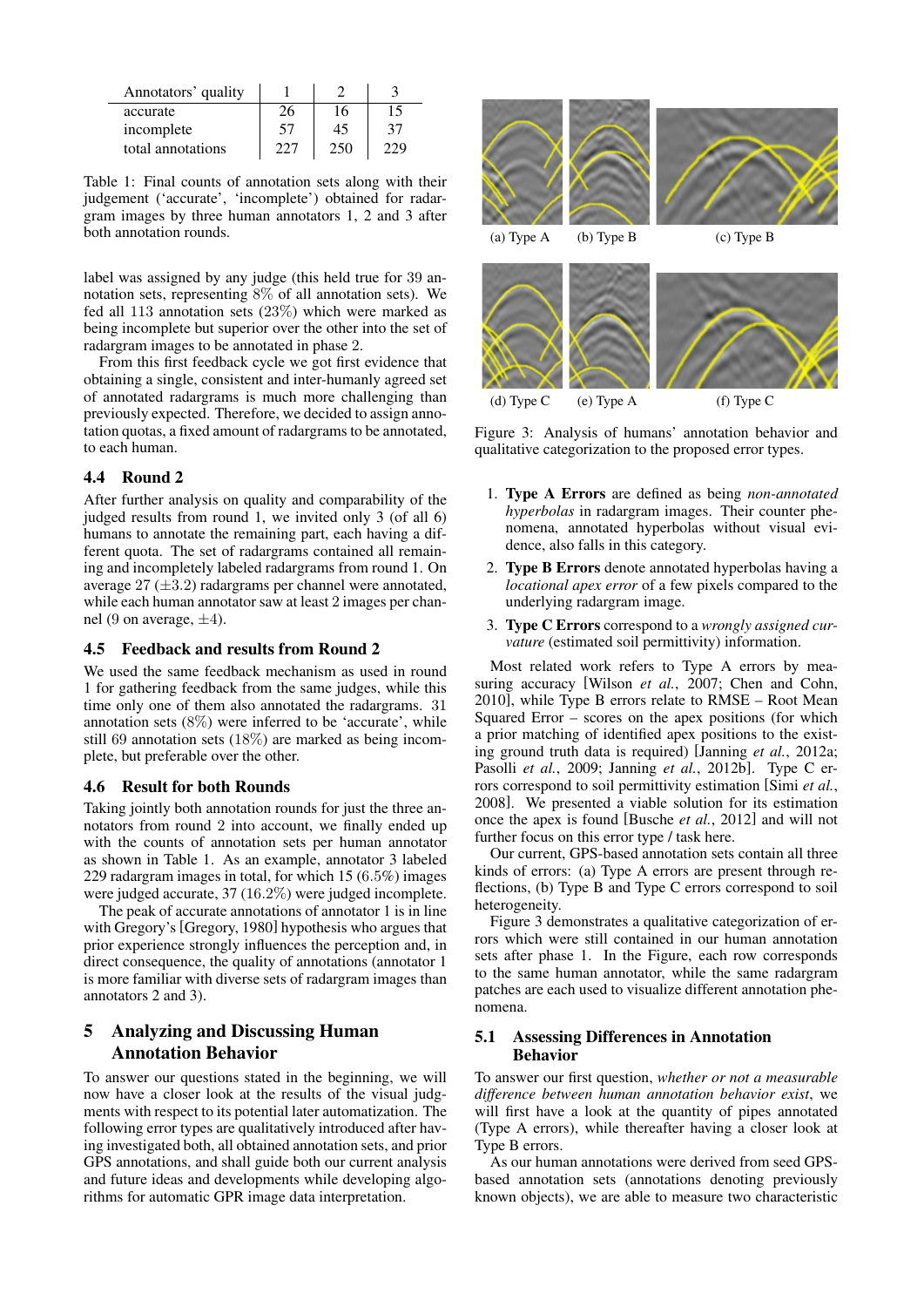| Annotators' quality |     |     |    |
|---------------------|-----|-----|----|
| accurate            | 26  | 16  | 15 |
| incomplete          | 57  | 45  | 37 |
| total annotations   | フフフ | 250 |    |

Table 1: Final counts of annotation sets along with their judgement ('accurate', 'incomplete') obtained for radargram images by three human annotators 1, 2 and 3 after both annotation rounds.

label was assigned by any judge (this held true for 39 annotation sets, representing 8% of all annotation sets). We fed all 113 annotation sets (23%) which were marked as being incomplete but superior over the other into the set of radargram images to be annotated in phase 2.

From this first feedback cycle we got first evidence that obtaining a single, consistent and inter-humanly agreed set of annotated radargrams is much more challenging than previously expected. Therefore, we decided to assign annotation quotas, a fixed amount of radargrams to be annotated, to each human.

### 4.4 Round 2

After further analysis on quality and comparability of the judged results from round 1, we invited only 3 (of all 6) humans to annotate the remaining part, each having a different quota. The set of radargrams contained all remaining and incompletely labeled radargrams from round 1. On average 27 (*±*3*.*2) radargrams per channel were annotated, while each human annotator saw at least 2 images per channel (9 on average, *±*4).

#### 4.5 Feedback and results from Round 2

We used the same feedback mechanism as used in round 1 for gathering feedback from the same judges, while this time only one of them also annotated the radargrams. 31 annotation sets  $(8\%)$  were inferred to be 'accurate', while still 69 annotation sets (18%) are marked as being incomplete, but preferable over the other.

#### 4.6 Result for both Rounds

Taking jointly both annotation rounds for just the three annotators from round 2 into account, we finally ended up with the counts of annotation sets per human annotator as shown in Table 1. As an example, annotator 3 labeled 229 radargram images in total, for which 15 (6*.*5%) images were judged accurate, 37 (16*.*2%) were judged incomplete.

The peak of accurate annotations of annotator 1 is in line with Gregory's [Gregory, 1980] hypothesis who argues that prior experience strongly influences the perception and, in direct consequence, the quality of annotations (annotator 1 is more familiar with diverse sets of radargram images than annotators 2 and 3).

# 5 Analyzing and Discussing Human Annotation Behavior

To answer our questions stated in the beginning, we will now have a closer look at the results of the visual judgments with respect to its potential later automatization. The following error types are qualitatively introduced after having investigated both, all obtained annotation sets, and prior GPS annotations, and shall guide both our current analysis and future ideas and developments while developing algorithms for automatic GPR image data interpretation.



(d) Type C (e) Type A (f) Type C

Figure 3: Analysis of humans' annotation behavior and qualitative categorization to the proposed error types.

- 1. Type A Errors are defined as being *non-annotated hyperbolas* in radargram images. Their counter phenomena, annotated hyperbolas without visual evidence, also falls in this category.
- 2. Type B Errors denote annotated hyperbolas having a *locational apex error* of a few pixels compared to the underlying radargram image.
- 3. Type C Errors correspond to a *wrongly assigned curvature* (estimated soil permittivity) information.

Most related work refers to Type A errors by measuring accuracy [Wilson *et al.*, 2007; Chen and Cohn, 2010], while Type B errors relate to RMSE – Root Mean Squared Error – scores on the apex positions (for which a prior matching of identified apex positions to the existing ground truth data is required) [Janning *et al.*, 2012a; Pasolli *et al.*, 2009; Janning *et al.*, 2012b]. Type C errors correspond to soil permittivity estimation [Simi *et al.*, 2008]. We presented a viable solution for its estimation once the apex is found [Busche *et al.*, 2012] and will not further focus on this error type / task here.

Our current, GPS-based annotation sets contain all three kinds of errors: (a) Type A errors are present through reflections, (b) Type B and Type C errors correspond to soil heterogeneity.

Figure 3 demonstrates a qualitative categorization of errors which were still contained in our human annotation sets after phase 1. In the Figure, each row corresponds to the same human annotator, while the same radargram patches are each used to visualize different annotation phenomena.

### 5.1 Assessing Differences in Annotation Behavior

To answer our first question, *whether or not a measurable difference between human annotation behavior exist*, we will first have a look at the quantity of pipes annotated (Type A errors), while thereafter having a closer look at Type B errors.

As our human annotations were derived from seed GPSbased annotation sets (annotations denoting previously known objects), we are able to measure two characteristic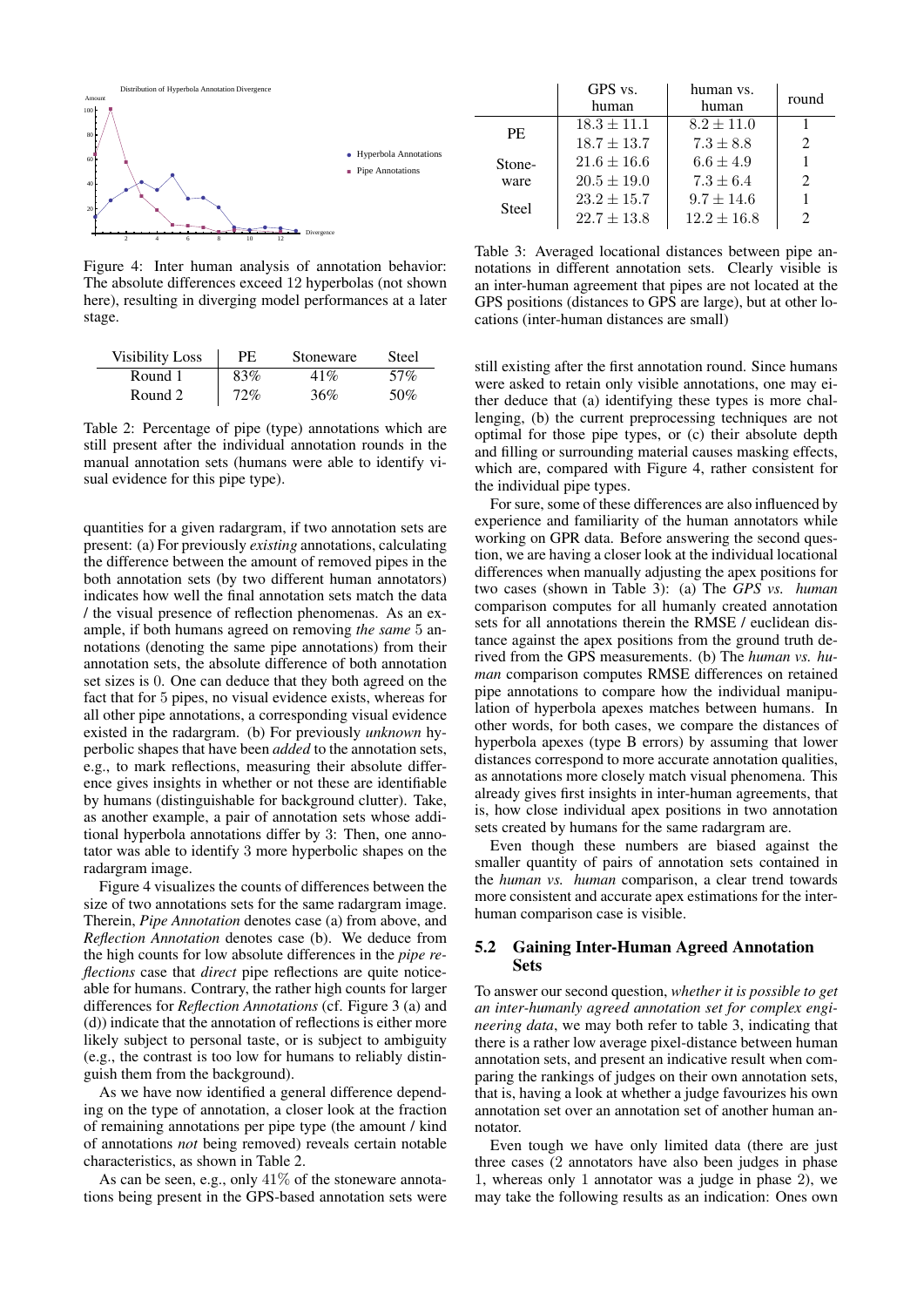

Figure 4: Inter human analysis of annotation behavior: The absolute differences exceed 12 hyperbolas (not shown here), resulting in diverging model performances at a later stage.

| <b>Visibility Loss</b> | PF. | Stoneware | Steel |
|------------------------|-----|-----------|-------|
| Round 1                | 83% | 41%       | 57%   |
| Round 2                | 72% | 36%       | 50%   |

Table 2: Percentage of pipe (type) annotations which are still present after the individual annotation rounds in the manual annotation sets (humans were able to identify visual evidence for this pipe type).

quantities for a given radargram, if two annotation sets are present: (a) For previously *existing* annotations, calculating the difference between the amount of removed pipes in the both annotation sets (by two different human annotators) indicates how well the final annotation sets match the data / the visual presence of reflection phenomenas. As an example, if both humans agreed on removing *the same* 5 annotations (denoting the same pipe annotations) from their annotation sets, the absolute difference of both annotation set sizes is 0. One can deduce that they both agreed on the fact that for 5 pipes, no visual evidence exists, whereas for all other pipe annotations, a corresponding visual evidence existed in the radargram. (b) For previously *unknown* hyperbolic shapes that have been *added* to the annotation sets, e.g., to mark reflections, measuring their absolute difference gives insights in whether or not these are identifiable by humans (distinguishable for background clutter). Take, as another example, a pair of annotation sets whose additional hyperbola annotations differ by 3: Then, one annotator was able to identify 3 more hyperbolic shapes on the radargram image.

Figure 4 visualizes the counts of differences between the size of two annotations sets for the same radargram image. Therein, *Pipe Annotation* denotes case (a) from above, and *Reflection Annotation* denotes case (b). We deduce from the high counts for low absolute differences in the *pipe reflections* case that *direct* pipe reflections are quite noticeable for humans. Contrary, the rather high counts for larger differences for *Reflection Annotations* (cf. Figure 3 (a) and (d)) indicate that the annotation of reflections is either more likely subject to personal taste, or is subject to ambiguity (e.g., the contrast is too low for humans to reliably distinguish them from the background).

As we have now identified a general difference depending on the type of annotation, a closer look at the fraction of remaining annotations per pipe type (the amount / kind of annotations *not* being removed) reveals certain notable characteristics, as shown in Table 2.

As can be seen, e.g., only 41% of the stoneware annotations being present in the GPS-based annotation sets were

|              | GPS vs.<br>human | human vs.<br>human | round         |
|--------------|------------------|--------------------|---------------|
| PE.          | $18.3 \pm 11.1$  | $8.2 \pm 11.0$     |               |
|              | $18.7 \pm 13.7$  | $7.3 \pm 8.8$      | $\mathcal{D}$ |
| Stone-       | $21.6 \pm 16.6$  | $6.6 \pm 4.9$      |               |
| ware         | $20.5 \pm 19.0$  | $7.3 \pm 6.4$      |               |
| <b>Steel</b> | $23.2 \pm 15.7$  | $9.7 \pm 14.6$     |               |
|              | $22.7 \pm 13.8$  | $12.2 \pm 16.8$    |               |

Table 3: Averaged locational distances between pipe annotations in different annotation sets. Clearly visible is an inter-human agreement that pipes are not located at the GPS positions (distances to GPS are large), but at other locations (inter-human distances are small)

still existing after the first annotation round. Since humans were asked to retain only visible annotations, one may either deduce that (a) identifying these types is more challenging, (b) the current preprocessing techniques are not optimal for those pipe types, or (c) their absolute depth and filling or surrounding material causes masking effects, which are, compared with Figure 4, rather consistent for the individual pipe types.

For sure, some of these differences are also influenced by experience and familiarity of the human annotators while working on GPR data. Before answering the second question, we are having a closer look at the individual locational differences when manually adjusting the apex positions for two cases (shown in Table 3): (a) The *GPS vs. human* comparison computes for all humanly created annotation sets for all annotations therein the RMSE / euclidean distance against the apex positions from the ground truth derived from the GPS measurements. (b) The *human vs. human* comparison computes RMSE differences on retained pipe annotations to compare how the individual manipulation of hyperbola apexes matches between humans. In other words, for both cases, we compare the distances of hyperbola apexes (type B errors) by assuming that lower distances correspond to more accurate annotation qualities, as annotations more closely match visual phenomena. This already gives first insights in inter-human agreements, that is, how close individual apex positions in two annotation sets created by humans for the same radargram are.

Even though these numbers are biased against the smaller quantity of pairs of annotation sets contained in the *human vs. human* comparison, a clear trend towards more consistent and accurate apex estimations for the interhuman comparison case is visible.

#### 5.2 Gaining Inter-Human Agreed Annotation Sets

To answer our second question, *whether it is possible to get an inter-humanly agreed annotation set for complex engineering data*, we may both refer to table 3, indicating that there is a rather low average pixel-distance between human annotation sets, and present an indicative result when comparing the rankings of judges on their own annotation sets, that is, having a look at whether a judge favourizes his own annotation set over an annotation set of another human annotator.

Even tough we have only limited data (there are just three cases (2 annotators have also been judges in phase 1, whereas only 1 annotator was a judge in phase 2), we may take the following results as an indication: Ones own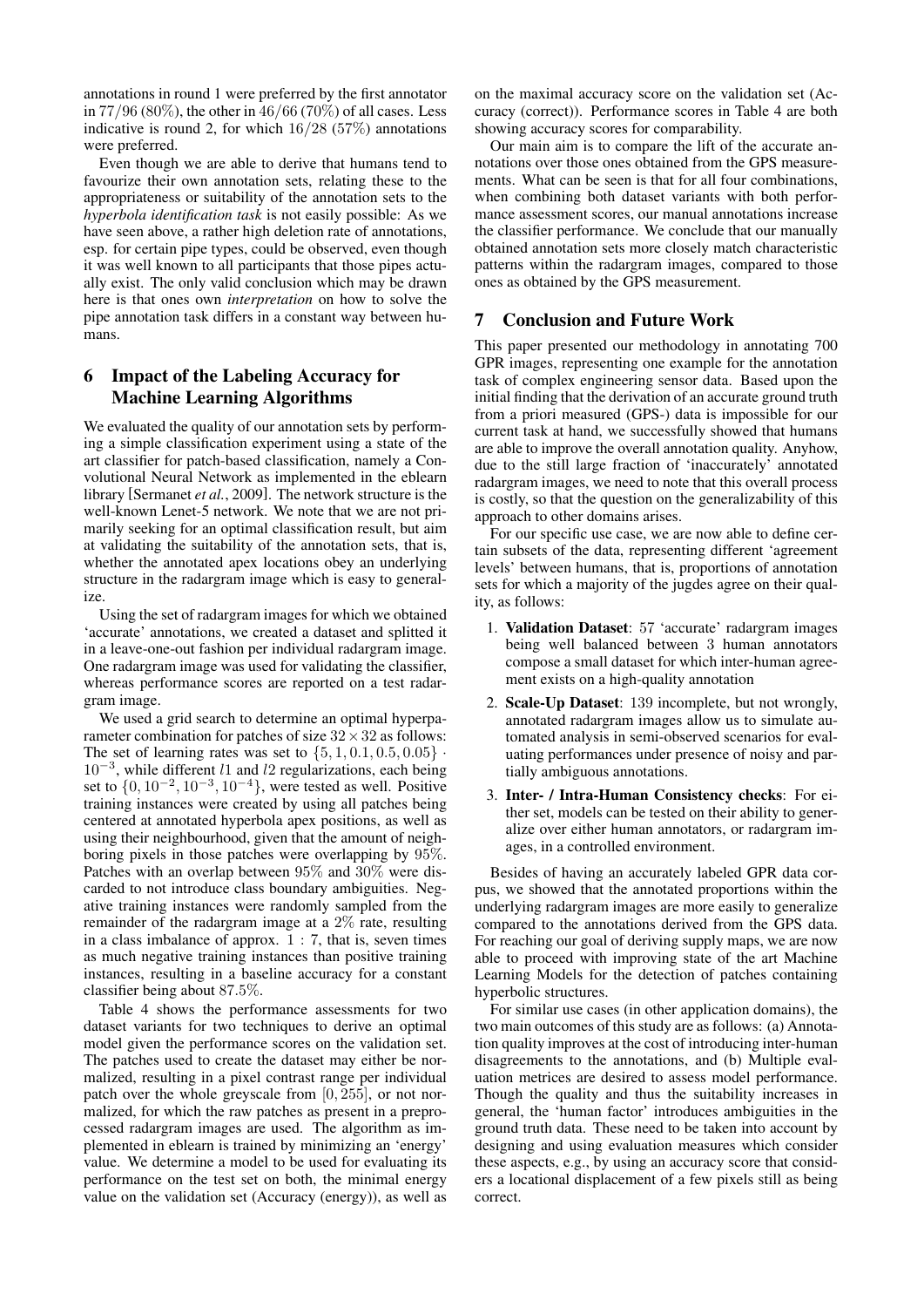annotations in round 1 were preferred by the first annotator in 77*/*96 (80%), the other in 46*/*66 (70%) of all cases. Less indicative is round 2, for which 16*/*28 (57%) annotations were preferred.

Even though we are able to derive that humans tend to favourize their own annotation sets, relating these to the appropriateness or suitability of the annotation sets to the *hyperbola identification task* is not easily possible: As we have seen above, a rather high deletion rate of annotations, esp. for certain pipe types, could be observed, even though it was well known to all participants that those pipes actually exist. The only valid conclusion which may be drawn here is that ones own *interpretation* on how to solve the pipe annotation task differs in a constant way between humans.

# 6 Impact of the Labeling Accuracy for Machine Learning Algorithms

We evaluated the quality of our annotation sets by performing a simple classification experiment using a state of the art classifier for patch-based classification, namely a Convolutional Neural Network as implemented in the eblearn library [Sermanet *et al.*, 2009]. The network structure is the well-known Lenet-5 network. We note that we are not primarily seeking for an optimal classification result, but aim at validating the suitability of the annotation sets, that is, whether the annotated apex locations obey an underlying structure in the radargram image which is easy to generalize.

Using the set of radargram images for which we obtained 'accurate' annotations, we created a dataset and splitted it in a leave-one-out fashion per individual radargram image. One radargram image was used for validating the classifier, whereas performance scores are reported on a test radargram image.

We used a grid search to determine an optimal hyperparameter combination for patches of size 32*×*32 as follows: The set of learning rates was set to  $\{5, 1, 0.1, 0.5, 0.05\}$ . 10*−*<sup>3</sup> , while different *l*1 and *l*2 regularizations, each being set to *{*0*,* 10*−*<sup>2</sup> *,* 10*−*<sup>3</sup> *,* 10*−*<sup>4</sup>*}*, were tested as well. Positive training instances were created by using all patches being centered at annotated hyperbola apex positions, as well as using their neighbourhood, given that the amount of neighboring pixels in those patches were overlapping by 95%. Patches with an overlap between 95% and 30% were discarded to not introduce class boundary ambiguities. Negative training instances were randomly sampled from the remainder of the radargram image at a 2% rate, resulting in a class imbalance of approx.  $1: 7$ , that is, seven times as much negative training instances than positive training instances, resulting in a baseline accuracy for a constant classifier being about 87*.*5%.

Table 4 shows the performance assessments for two dataset variants for two techniques to derive an optimal model given the performance scores on the validation set. The patches used to create the dataset may either be normalized, resulting in a pixel contrast range per individual patch over the whole greyscale from [0*,* 255], or not normalized, for which the raw patches as present in a preprocessed radargram images are used. The algorithm as implemented in eblearn is trained by minimizing an 'energy' value. We determine a model to be used for evaluating its performance on the test set on both, the minimal energy value on the validation set (Accuracy (energy)), as well as

on the maximal accuracy score on the validation set (Accuracy (correct)). Performance scores in Table 4 are both showing accuracy scores for comparability.

Our main aim is to compare the lift of the accurate annotations over those ones obtained from the GPS measurements. What can be seen is that for all four combinations, when combining both dataset variants with both performance assessment scores, our manual annotations increase the classifier performance. We conclude that our manually obtained annotation sets more closely match characteristic patterns within the radargram images, compared to those ones as obtained by the GPS measurement.

### 7 Conclusion and Future Work

This paper presented our methodology in annotating 700 GPR images, representing one example for the annotation task of complex engineering sensor data. Based upon the initial finding that the derivation of an accurate ground truth from a priori measured (GPS-) data is impossible for our current task at hand, we successfully showed that humans are able to improve the overall annotation quality. Anyhow, due to the still large fraction of 'inaccurately' annotated radargram images, we need to note that this overall process is costly, so that the question on the generalizability of this approach to other domains arises.

For our specific use case, we are now able to define certain subsets of the data, representing different 'agreement levels' between humans, that is, proportions of annotation sets for which a majority of the jugdes agree on their quality, as follows:

- 1. Validation Dataset: 57 'accurate' radargram images being well balanced between 3 human annotators compose a small dataset for which inter-human agreement exists on a high-quality annotation
- 2. Scale-Up Dataset: 139 incomplete, but not wrongly, annotated radargram images allow us to simulate automated analysis in semi-observed scenarios for evaluating performances under presence of noisy and partially ambiguous annotations.
- 3. Inter- / Intra-Human Consistency checks: For either set, models can be tested on their ability to generalize over either human annotators, or radargram images, in a controlled environment.

Besides of having an accurately labeled GPR data corpus, we showed that the annotated proportions within the underlying radargram images are more easily to generalize compared to the annotations derived from the GPS data. For reaching our goal of deriving supply maps, we are now able to proceed with improving state of the art Machine Learning Models for the detection of patches containing hyperbolic structures.

For similar use cases (in other application domains), the two main outcomes of this study are as follows: (a) Annotation quality improves at the cost of introducing inter-human disagreements to the annotations, and (b) Multiple evaluation metrices are desired to assess model performance. Though the quality and thus the suitability increases in general, the 'human factor' introduces ambiguities in the ground truth data. These need to be taken into account by designing and using evaluation measures which consider these aspects, e.g., by using an accuracy score that considers a locational displacement of a few pixels still as being correct.